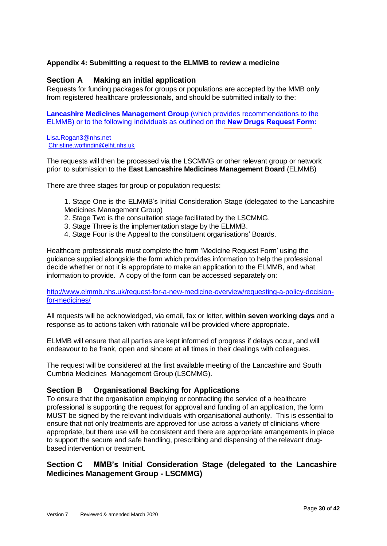## **Appendix 4: Submitting a request to the ELMMB to review a medicine**

### **Section A Making an initial application**

Requests for funding packages for groups or populations are accepted by the MMB only from registered healthcare professionals, and should be submitted initially to the:

**Lancashire Medicines Management Group** (which provides recommendations to the ELMMB) or to the following individuals as outlined on the **[New Drugs Request Form](http://www.elmmb.nhs.uk/?sd=173542#):**

#### Lisa.Rogan3@nhs.net Christine.woffindin@elht.nhs.uk

The requests will then be processed via the LSCMMG or other relevant group or network prior to submission to the **East Lancashire Medicines Management Board** (ELMMB)

There are three stages for group or population requests:

- 1. Stage One is the ELMMB's Initial Consideration Stage (delegated to the Lancashire Medicines Management Group)
- 2. Stage Two is the consultation stage facilitated by the LSCMMG.
- 3. Stage Three is the implementation stage by the ELMMB.
- 4. Stage Four is the Appeal to the constituent organisations' Boards.

Healthcare professionals must complete the form 'Medicine Request Form' using the guidance supplied alongside the form which provides information to help the professional decide whether or not it is appropriate to make an application to the ELMMB, and what information to provide. A copy of the form can be accessed separately on:

http://www.elmmb.nhs.uk/request-for-a-new-medicine-overview/requesting-a-policy-decisionfor-medicines/

All requests will be acknowledged, via email, fax or letter, **within seven working days** and a response as to actions taken with rationale will be provided where appropriate.

ELMMB will ensure that all parties are kept informed of progress if delays occur, and will endeavour to be frank, open and sincere at all times in their dealings with colleagues.

The request will be considered at the first available meeting of the Lancashire and South Cumbria Medicines Management Group (LSCMMG).

## **Section B Organisational Backing for Applications**

To ensure that the organisation employing or contracting the service of a healthcare professional is supporting the request for approval and funding of an application, the form MUST be signed by the relevant individuals with organisational authority. This is essential to ensure that not only treatments are approved for use across a variety of clinicians where appropriate, but there use will be consistent and there are appropriate arrangements in place to support the secure and safe handling, prescribing and dispensing of the relevant drugbased intervention or treatment.

# **Section C MMB's Initial Consideration Stage (delegated to the Lancashire Medicines Management Group - LSCMMG)**